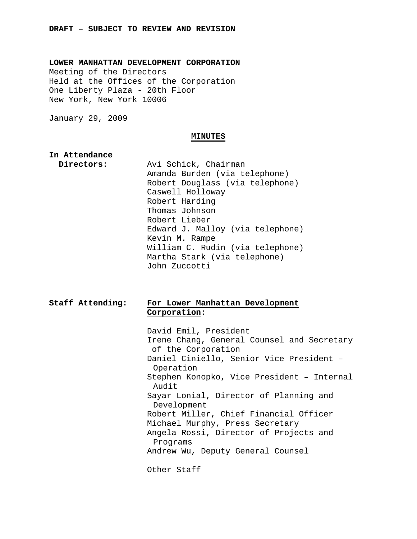**LOWER MANHATTAN DEVELOPMENT CORPORATION**  Meeting of the Directors Held at the Offices of the Corporation One Liberty Plaza - 20th Floor New York, New York 10006

January 29, 2009

#### **MINUTES**

# **In Attendance**

 **Directors:** Avi Schick, Chairman Amanda Burden (via telephone) Robert Douglass (via telephone) Caswell Holloway Robert Harding Thomas Johnson Robert Lieber Edward J. Malloy (via telephone) Kevin M. Rampe William C. Rudin (via telephone) Martha Stark (via telephone) John Zuccotti

# **Staff Attending: For Lower Manhattan Development Corporation:**

 David Emil, President Irene Chang, General Counsel and Secretary of the Corporation Daniel Ciniello, Senior Vice President – Operation Stephen Konopko, Vice President – Internal Audit Sayar Lonial, Director of Planning and Development Robert Miller, Chief Financial Officer Michael Murphy, Press Secretary Angela Rossi, Director of Projects and Programs Andrew Wu, Deputy General Counsel Other Staff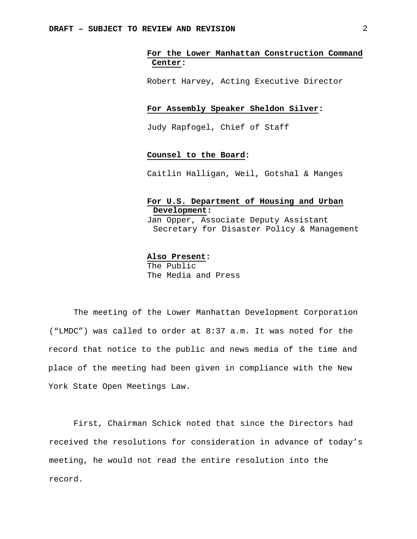## **For the Lower Manhattan Construction Command Center:**

Robert Harvey, Acting Executive Director

### **For Assembly Speaker Sheldon Silver:**

Judy Rapfogel, Chief of Staff

## **Counsel to the Board:**

Caitlin Halligan, Weil, Gotshal & Manges

## **For U.S. Department of Housing and Urban Development:**

Jan Opper, Associate Deputy Assistant Secretary for Disaster Policy & Management

### **Also Present:**

The Public The Media and Press

The meeting of the Lower Manhattan Development Corporation ("LMDC") was called to order at 8:37 a.m. It was noted for the record that notice to the public and news media of the time and place of the meeting had been given in compliance with the New York State Open Meetings Law.

First, Chairman Schick noted that since the Directors had received the resolutions for consideration in advance of today's meeting, he would not read the entire resolution into the record.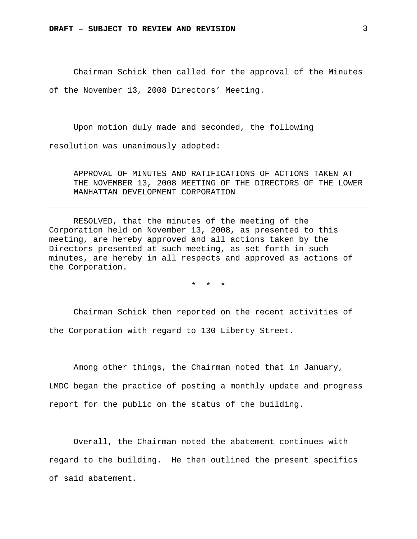Chairman Schick then called for the approval of the Minutes of the November 13, 2008 Directors' Meeting.

Upon motion duly made and seconded, the following resolution was unanimously adopted:

APPROVAL OF MINUTES AND RATIFICATIONS OF ACTIONS TAKEN AT THE NOVEMBER 13, 2008 MEETING OF THE DIRECTORS OF THE LOWER MANHATTAN DEVELOPMENT CORPORATION

RESOLVED, that the minutes of the meeting of the Corporation held on November 13, 2008, as presented to this meeting, are hereby approved and all actions taken by the Directors presented at such meeting, as set forth in such minutes, are hereby in all respects and approved as actions of the Corporation.

\* \* \*

Chairman Schick then reported on the recent activities of the Corporation with regard to 130 Liberty Street.

Among other things, the Chairman noted that in January, LMDC began the practice of posting a monthly update and progress report for the public on the status of the building.

Overall, the Chairman noted the abatement continues with regard to the building. He then outlined the present specifics of said abatement.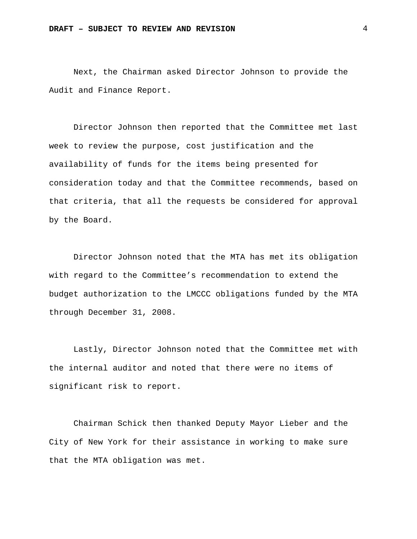Next, the Chairman asked Director Johnson to provide the Audit and Finance Report.

Director Johnson then reported that the Committee met last week to review the purpose, cost justification and the availability of funds for the items being presented for consideration today and that the Committee recommends, based on that criteria, that all the requests be considered for approval by the Board.

Director Johnson noted that the MTA has met its obligation with regard to the Committee's recommendation to extend the budget authorization to the LMCCC obligations funded by the MTA through December 31, 2008.

Lastly, Director Johnson noted that the Committee met with the internal auditor and noted that there were no items of significant risk to report.

Chairman Schick then thanked Deputy Mayor Lieber and the City of New York for their assistance in working to make sure that the MTA obligation was met.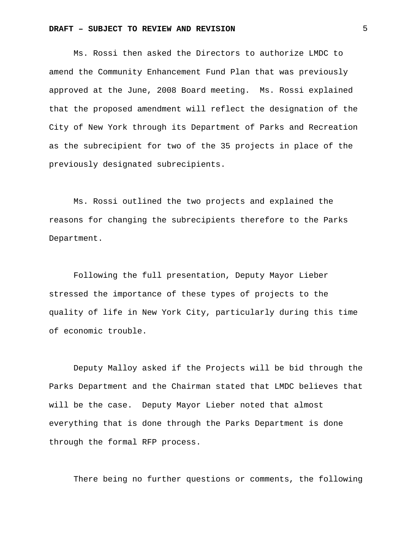Ms. Rossi then asked the Directors to authorize LMDC to amend the Community Enhancement Fund Plan that was previously approved at the June, 2008 Board meeting. Ms. Rossi explained that the proposed amendment will reflect the designation of the City of New York through its Department of Parks and Recreation as the subrecipient for two of the 35 projects in place of the previously designated subrecipients.

Ms. Rossi outlined the two projects and explained the reasons for changing the subrecipients therefore to the Parks Department.

Following the full presentation, Deputy Mayor Lieber stressed the importance of these types of projects to the quality of life in New York City, particularly during this time of economic trouble.

Deputy Malloy asked if the Projects will be bid through the Parks Department and the Chairman stated that LMDC believes that will be the case. Deputy Mayor Lieber noted that almost everything that is done through the Parks Department is done through the formal RFP process.

There being no further questions or comments, the following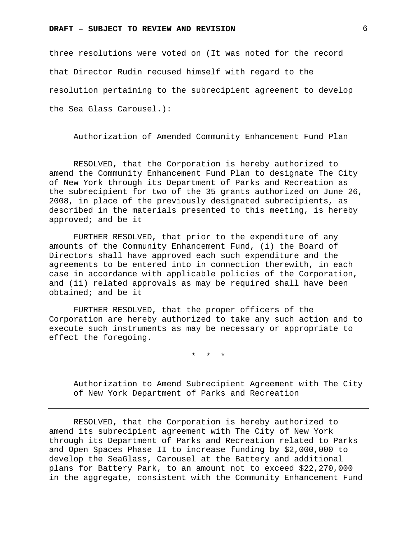three resolutions were voted on (It was noted for the record that Director Rudin recused himself with regard to the resolution pertaining to the subrecipient agreement to develop the Sea Glass Carousel.):

Authorization of Amended Community Enhancement Fund Plan

RESOLVED, that the Corporation is hereby authorized to amend the Community Enhancement Fund Plan to designate The City of New York through its Department of Parks and Recreation as the subrecipient for two of the 35 grants authorized on June 26, 2008, in place of the previously designated subrecipients, as described in the materials presented to this meeting, is hereby approved; and be it

FURTHER RESOLVED, that prior to the expenditure of any amounts of the Community Enhancement Fund, (i) the Board of Directors shall have approved each such expenditure and the agreements to be entered into in connection therewith, in each case in accordance with applicable policies of the Corporation, and (ii) related approvals as may be required shall have been obtained; and be it

FURTHER RESOLVED, that the proper officers of the Corporation are hereby authorized to take any such action and to execute such instruments as may be necessary or appropriate to effect the foregoing.

\* \* \*

Authorization to Amend Subrecipient Agreement with The City of New York Department of Parks and Recreation

RESOLVED, that the Corporation is hereby authorized to amend its subrecipient agreement with The City of New York through its Department of Parks and Recreation related to Parks and Open Spaces Phase II to increase funding by \$2,000,000 to develop the SeaGlass, Carousel at the Battery and additional plans for Battery Park, to an amount not to exceed \$22,270,000 in the aggregate, consistent with the Community Enhancement Fund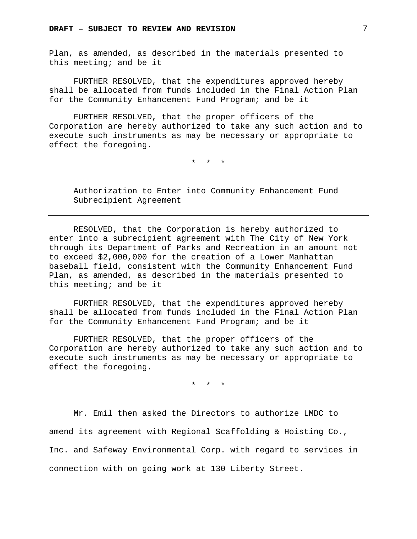Plan, as amended, as described in the materials presented to this meeting; and be it

FURTHER RESOLVED, that the expenditures approved hereby shall be allocated from funds included in the Final Action Plan for the Community Enhancement Fund Program; and be it

FURTHER RESOLVED, that the proper officers of the Corporation are hereby authorized to take any such action and to execute such instruments as may be necessary or appropriate to effect the foregoing.

\* \* \*

Authorization to Enter into Community Enhancement Fund Subrecipient Agreement

RESOLVED, that the Corporation is hereby authorized to enter into a subrecipient agreement with The City of New York through its Department of Parks and Recreation in an amount not to exceed \$2,000,000 for the creation of a Lower Manhattan baseball field, consistent with the Community Enhancement Fund Plan, as amended, as described in the materials presented to this meeting; and be it

FURTHER RESOLVED, that the expenditures approved hereby shall be allocated from funds included in the Final Action Plan for the Community Enhancement Fund Program; and be it

FURTHER RESOLVED, that the proper officers of the Corporation are hereby authorized to take any such action and to execute such instruments as may be necessary or appropriate to effect the foregoing.

\* \* \*

Mr. Emil then asked the Directors to authorize LMDC to amend its agreement with Regional Scaffolding & Hoisting Co., Inc. and Safeway Environmental Corp. with regard to services in connection with on going work at 130 Liberty Street.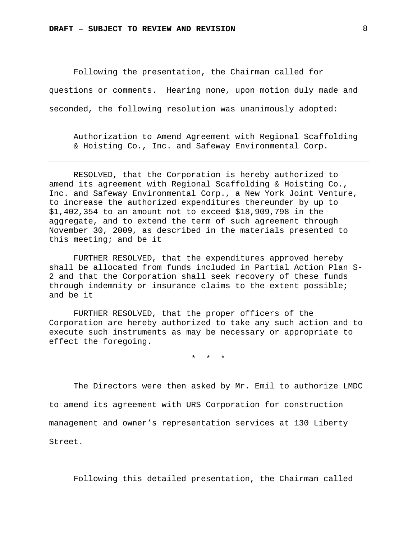Following the presentation, the Chairman called for questions or comments. Hearing none, upon motion duly made and seconded, the following resolution was unanimously adopted:

Authorization to Amend Agreement with Regional Scaffolding & Hoisting Co., Inc. and Safeway Environmental Corp.

RESOLVED, that the Corporation is hereby authorized to amend its agreement with Regional Scaffolding & Hoisting Co., Inc. and Safeway Environmental Corp., a New York Joint Venture, to increase the authorized expenditures thereunder by up to \$1,402,354 to an amount not to exceed \$18,909,798 in the aggregate, and to extend the term of such agreement through November 30, 2009, as described in the materials presented to this meeting; and be it

FURTHER RESOLVED, that the expenditures approved hereby shall be allocated from funds included in Partial Action Plan S-2 and that the Corporation shall seek recovery of these funds through indemnity or insurance claims to the extent possible; and be it

FURTHER RESOLVED, that the proper officers of the Corporation are hereby authorized to take any such action and to execute such instruments as may be necessary or appropriate to effect the foregoing.

\* \* \*

The Directors were then asked by Mr. Emil to authorize LMDC to amend its agreement with URS Corporation for construction management and owner's representation services at 130 Liberty Street.

Following this detailed presentation, the Chairman called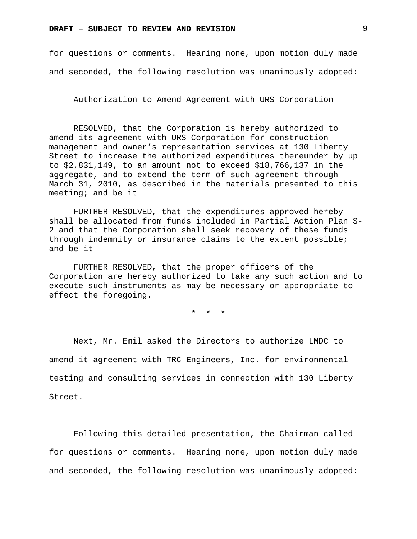for questions or comments. Hearing none, upon motion duly made and seconded, the following resolution was unanimously adopted:

Authorization to Amend Agreement with URS Corporation

RESOLVED, that the Corporation is hereby authorized to amend its agreement with URS Corporation for construction management and owner's representation services at 130 Liberty Street to increase the authorized expenditures thereunder by up to \$2,831,149, to an amount not to exceed \$18,766,137 in the aggregate, and to extend the term of such agreement through March 31, 2010, as described in the materials presented to this meeting; and be it

FURTHER RESOLVED, that the expenditures approved hereby shall be allocated from funds included in Partial Action Plan S-2 and that the Corporation shall seek recovery of these funds through indemnity or insurance claims to the extent possible; and be it

FURTHER RESOLVED, that the proper officers of the Corporation are hereby authorized to take any such action and to execute such instruments as may be necessary or appropriate to effect the foregoing.

\* \* \*

Next, Mr. Emil asked the Directors to authorize LMDC to amend it agreement with TRC Engineers, Inc. for environmental testing and consulting services in connection with 130 Liberty Street.

Following this detailed presentation, the Chairman called for questions or comments. Hearing none, upon motion duly made and seconded, the following resolution was unanimously adopted: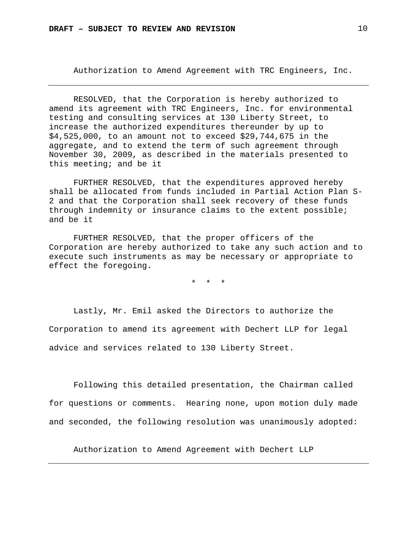Authorization to Amend Agreement with TRC Engineers, Inc.

RESOLVED, that the Corporation is hereby authorized to amend its agreement with TRC Engineers, Inc. for environmental testing and consulting services at 130 Liberty Street, to increase the authorized expenditures thereunder by up to \$4,525,000, to an amount not to exceed \$29,744,675 in the aggregate, and to extend the term of such agreement through November 30, 2009, as described in the materials presented to this meeting; and be it

FURTHER RESOLVED, that the expenditures approved hereby shall be allocated from funds included in Partial Action Plan S-2 and that the Corporation shall seek recovery of these funds through indemnity or insurance claims to the extent possible; and be it

FURTHER RESOLVED, that the proper officers of the Corporation are hereby authorized to take any such action and to execute such instruments as may be necessary or appropriate to effect the foregoing.

\* \* \*

Lastly, Mr. Emil asked the Directors to authorize the Corporation to amend its agreement with Dechert LLP for legal advice and services related to 130 Liberty Street.

Following this detailed presentation, the Chairman called for questions or comments. Hearing none, upon motion duly made and seconded, the following resolution was unanimously adopted:

Authorization to Amend Agreement with Dechert LLP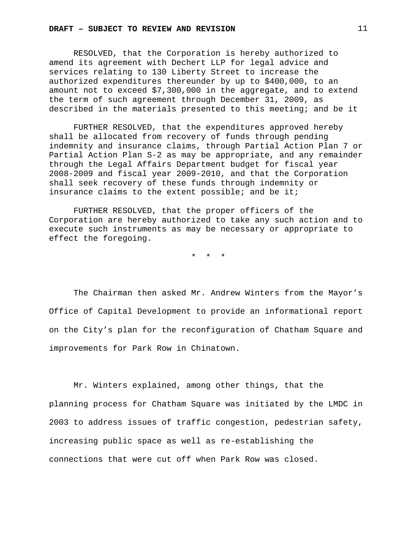RESOLVED, that the Corporation is hereby authorized to amend its agreement with Dechert LLP for legal advice and services relating to 130 Liberty Street to increase the authorized expenditures thereunder by up to \$400,000, to an amount not to exceed \$7,300,000 in the aggregate, and to extend the term of such agreement through December 31, 2009, as described in the materials presented to this meeting; and be it

FURTHER RESOLVED, that the expenditures approved hereby shall be allocated from recovery of funds through pending indemnity and insurance claims, through Partial Action Plan 7 or Partial Action Plan S-2 as may be appropriate, and any remainder through the Legal Affairs Department budget for fiscal year 2008-2009 and fiscal year 2009-2010, and that the Corporation shall seek recovery of these funds through indemnity or insurance claims to the extent possible; and be it;

FURTHER RESOLVED, that the proper officers of the Corporation are hereby authorized to take any such action and to execute such instruments as may be necessary or appropriate to effect the foregoing.

\* \* \*

The Chairman then asked Mr. Andrew Winters from the Mayor's Office of Capital Development to provide an informational report on the City's plan for the reconfiguration of Chatham Square and improvements for Park Row in Chinatown.

Mr. Winters explained, among other things, that the planning process for Chatham Square was initiated by the LMDC in 2003 to address issues of traffic congestion, pedestrian safety, increasing public space as well as re-establishing the connections that were cut off when Park Row was closed.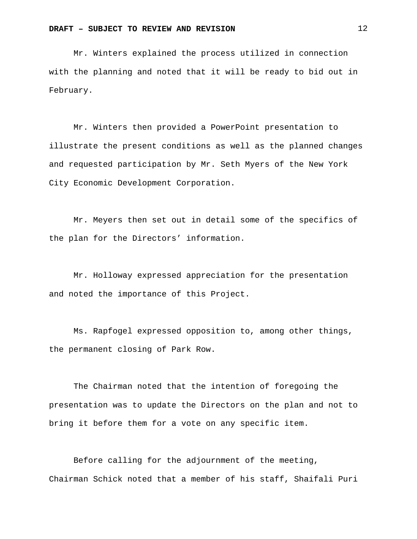Mr. Winters explained the process utilized in connection with the planning and noted that it will be ready to bid out in February.

Mr. Winters then provided a PowerPoint presentation to illustrate the present conditions as well as the planned changes and requested participation by Mr. Seth Myers of the New York City Economic Development Corporation.

Mr. Meyers then set out in detail some of the specifics of the plan for the Directors' information.

Mr. Holloway expressed appreciation for the presentation and noted the importance of this Project.

Ms. Rapfogel expressed opposition to, among other things, the permanent closing of Park Row.

The Chairman noted that the intention of foregoing the presentation was to update the Directors on the plan and not to bring it before them for a vote on any specific item.

Before calling for the adjournment of the meeting, Chairman Schick noted that a member of his staff, Shaifali Puri